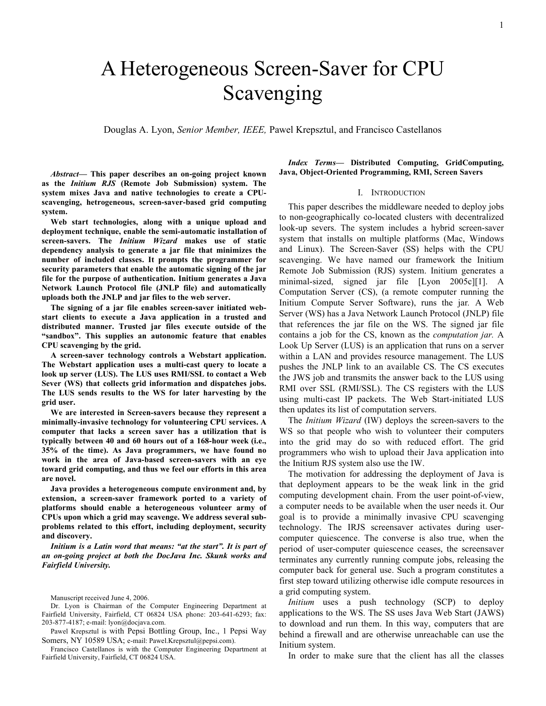# A Heterogeneous Screen-Saver for CPU Scavenging

Douglas A. Lyon, *Senior Member, IEEE,* Pawel Krepsztul, and Francisco Castellanos

*Abstract***— This paper describes an on-going project known as the** *Initium RJS* **(Remote Job Submission) system. The system mixes Java and native technologies to create a CPUscavenging, hetrogeneous, screen-saver-based grid computing system.** 

**Web start technologies, along with a unique upload and deployment technique, enable the semi-automatic installation of screen-savers. The** *Initium Wizard* **makes use of static dependency analysis to generate a jar file that minimizes the number of included classes. It prompts the programmer for security parameters that enable the automatic signing of the jar file for the purpose of authentication. Initium generates a Java Network Launch Protocol file (JNLP file) and automatically uploads both the JNLP and jar files to the web server.**

**The signing of a jar file enables screen-saver initiated webstart clients to execute a Java application in a trusted and distributed manner. Trusted jar files execute outside of the "sandbox". This supplies an autonomic feature that enables CPU scavenging by the grid.**

**A screen-saver technology controls a Webstart application. The Webstart application uses a multi-cast query to locate a look up server (LUS). The LUS uses RMI/SSL to contact a Web Sever (WS) that collects grid information and dispatches jobs. The LUS sends results to the WS for later harvesting by the grid user.**

**We are interested in Screen-savers because they represent a minimally-invasive technology for volunteering CPU services. A computer that lacks a screen saver has a utilization that is typically between 40 and 60 hours out of a 168-hour week (i.e., 35% of the time). As Java programmers, we have found no work in the area of Java-based screen-savers with an eye toward grid computing, and thus we feel our efforts in this area are novel.** 

**Java provides a heterogeneous compute environment and, by extension, a screen-saver framework ported to a variety of platforms should enable a heterogeneous volunteer army of CPUs upon which a grid may scavenge. We address several subproblems related to this effort, including deployment, security and discovery.**

*Initium is a Latin word that means: "at the start". It is part of an on-going project at both the DocJava Inc. Skunk works and Fairfield University.*

Manuscript received June 4, 2006.

Dr. Lyon is Chairman of the Computer Engineering Department at Fairfield University, Fairfield, CT 06824 USA phone: 203-641-6293; fax: 203-877-4187; e-mail: lyon@docjava.com.

Pawel Krepsztul is with Pepsi Bottling Group, Inc., 1 Pepsi Way Somers, NY 10589 USA; e-mail: Pawel.Krepsztul@pepsi.com).

Francisco Castellanos is with the Computer Engineering Department at Fairfield University, Fairfield, CT 06824 USA.

*Index Terms***— Distributed Computing, GridComputing, Java, Object-Oriented Programming, RMI, Screen Savers**

#### I. INTRODUCTION

This paper describes the middleware needed to deploy jobs to non-geographically co-located clusters with decentralized look-up severs. The system includes a hybrid screen-saver system that installs on multiple platforms (Mac, Windows and Linux). The Screen-Saver (SS) helps with the CPU scavenging. We have named our framework the Initium Remote Job Submission (RJS) system. Initium generates a minimal-sized, signed jar file [Lyon 2005c][1]. A Computation Server (CS), (a remote computer running the Initium Compute Server Software), runs the jar*.* A Web Server (WS) has a Java Network Launch Protocol (JNLP) file that references the jar file on the WS. The signed jar file contains a job for the CS, known as the *computation jar.* A Look Up Server (LUS) is an application that runs on a server within a LAN and provides resource management. The LUS pushes the JNLP link to an available CS. The CS executes the JWS job and transmits the answer back to the LUS using RMI over SSL (RMI/SSL). The CS registers with the LUS using multi-cast IP packets. The Web Start-initiated LUS then updates its list of computation servers.

The *Initium Wizard* (IW) deploys the screen-savers to the WS so that people who wish to volunteer their computers into the grid may do so with reduced effort. The grid programmers who wish to upload their Java application into the Initium RJS system also use the IW.

The motivation for addressing the deployment of Java is that deployment appears to be the weak link in the grid computing development chain. From the user point-of-view, a computer needs to be available when the user needs it. Our goal is to provide a minimally invasive CPU scavenging technology. The IRJS screensaver activates during usercomputer quiescence. The converse is also true, when the period of user-computer quiescence ceases, the screensaver terminates any currently running compute jobs, releasing the computer back for general use. Such a program constitutes a first step toward utilizing otherwise idle compute resources in a grid computing system.

*Initium* uses a push technology (SCP) to deploy applications to the WS. The SS uses Java Web Start (JAWS) to download and run them. In this way, computers that are behind a firewall and are otherwise unreachable can use the Initium system.

In order to make sure that the client has all the classes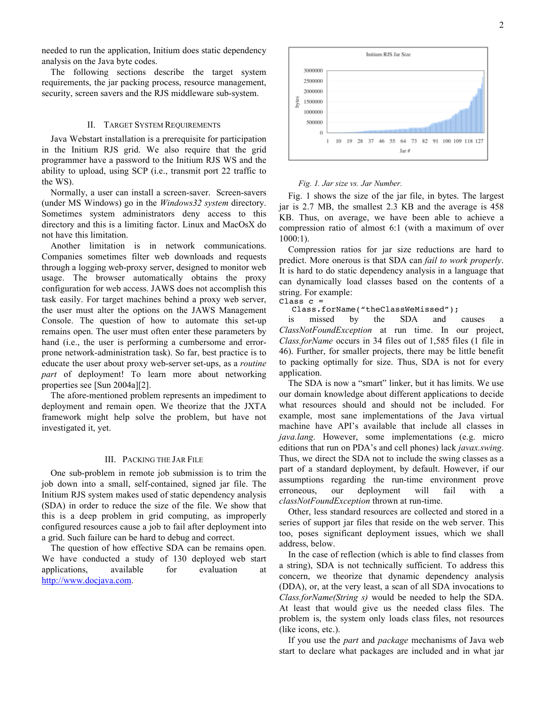needed to run the application, Initium does static dependency analysis on the Java byte codes.

The following sections describe the target system requirements, the jar packing process, resource management, security, screen savers and the RJS middleware sub-system.

## II. TARGET SYSTEM REQUIREMENTS

Java Webstart installation is a prerequisite for participation in the Initium RJS grid. We also require that the grid programmer have a password to the Initium RJS WS and the ability to upload, using SCP (i.e., transmit port 22 traffic to the WS).

Normally, a user can install a screen-saver. Screen-savers (under MS Windows) go in the *Windows32 system* directory. Sometimes system administrators deny access to this directory and this is a limiting factor. Linux and MacOsX do not have this limitation.

Another limitation is in network communications. Companies sometimes filter web downloads and requests through a logging web-proxy server, designed to monitor web usage. The browser automatically obtains the proxy configuration for web access. JAWS does not accomplish this task easily. For target machines behind a proxy web server, the user must alter the options on the JAWS Management Console. The question of how to automate this set-up remains open. The user must often enter these parameters by hand (i.e., the user is performing a cumbersome and errorprone network-administration task). So far, best practice is to educate the user about proxy web-server set-ups, as a *routine part* of deployment! To learn more about networking properties see [Sun 2004a][2].

The afore-mentioned problem represents an impediment to deployment and remain open. We theorize that the JXTA framework might help solve the problem, but have not investigated it, yet.

## III. PACKING THE JAR FILE

One sub-problem in remote job submission is to trim the job down into a small, self-contained, signed jar file. The Initium RJS system makes used of static dependency analysis (SDA) in order to reduce the size of the file. We show that this is a deep problem in grid computing, as improperly configured resources cause a job to fail after deployment into a grid. Such failure can be hard to debug and correct.

The question of how effective SDA can be remains open. We have conducted a study of 130 deployed web start applications, available for evaluation at http://www.docjava.com.



#### *Fig. 1. Jar size vs. Jar Number.*

Fig. 1 shows the size of the jar file, in bytes. The largest jar is 2.7 MB, the smallest 2.3 KB and the average is 458 KB. Thus, on average, we have been able to achieve a compression ratio of almost 6:1 (with a maximum of over 1000:1).

Compression ratios for jar size reductions are hard to predict. More onerous is that SDA can *fail to work properly*. It is hard to do static dependency analysis in a language that can dynamically load classes based on the contents of a string. For example:

#### $Class c =$

Class.forName("theClassWeMissed");

is missed by the SDA and causes *ClassNotFoundException* at run time. In our project, *Class.forName* occurs in 34 files out of 1,585 files (1 file in 46). Further, for smaller projects, there may be little benefit to packing optimally for size. Thus, SDA is not for every application.

The SDA is now a "smart" linker, but it has limits. We use our domain knowledge about different applications to decide what resources should and should not be included. For example, most sane implementations of the Java virtual machine have API's available that include all classes in *java.lang*. However, some implementations (e.g. micro editions that run on PDA's and cell phones) lack *javax.swing*. Thus, we direct the SDA not to include the swing classes as a part of a standard deployment, by default. However, if our assumptions regarding the run-time environment prove erroneous, our deployment will fail with a *classNotFoundException* thrown at run-time.

Other, less standard resources are collected and stored in a series of support jar files that reside on the web server. This too, poses significant deployment issues, which we shall address, below.

In the case of reflection (which is able to find classes from a string), SDA is not technically sufficient. To address this concern, we theorize that dynamic dependency analysis (DDA), or, at the very least, a scan of all SDA invocations to *Class.forName(String s)* would be needed to help the SDA. At least that would give us the needed class files. The problem is, the system only loads class files, not resources (like icons, etc.).

If you use the *part* and *package* mechanisms of Java web start to declare what packages are included and in what jar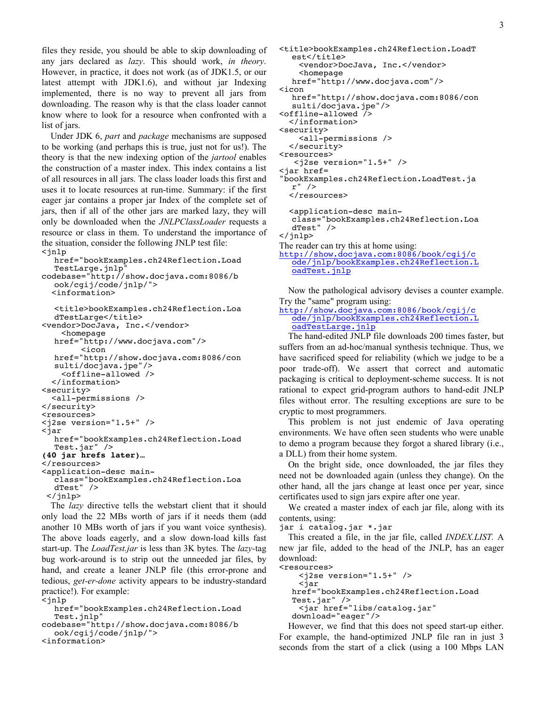files they reside, you should be able to skip downloading of any jars declared as *lazy*. This should work, *in theory*. However, in practice, it does not work (as of JDK1.5, or our latest attempt with JDK1.6), and without jar Indexing implemented, there is no way to prevent all jars from downloading. The reason why is that the class loader cannot know where to look for a resource when confronted with a list of jars.

Under JDK 6, *part* and *package* mechanisms are supposed to be working (and perhaps this is true, just not for us!). The theory is that the new indexing option of the *jartool* enables the construction of a master index. This index contains a list of all resources in all jars. The class loader loads this first and uses it to locate resources at run-time. Summary: if the first eager jar contains a proper jar Index of the complete set of jars, then if all of the other jars are marked lazy, they will only be downloaded when the *JNLPClassLoader* requests a resource or class in them. To understand the importance of the situation, consider the following JNLP test file: <jnlp

href="bookExamples.ch24Reflection.Load TestLarge.jnlp" codebase="http://show.docjava.com:8086/b ook/cgij/code/jnlp/"> <information> <title>bookExamples.ch24Reflection.Loa dTestLarge</title> <vendor>DocJava, Inc.</vendor> <homepage href="http://www.docjava.com"/> <icon href="http://show.docjava.com:8086/con sulti/docjava.jpe"/> <offline-allowed /> </information> <security> <all-permissions /> </security> <resources> <j2se version="1.5+" />  $\overline{\tau}$ iar href="bookExamples.ch24Reflection.Load Test.jar" /> **(40 jar hrefs later)…** </resources> <application-desc main- class="bookExamples.ch24Reflection.Loa dTest" /> </jnlp> The *lazy* directive tells the webstart client that it should

only load the 22 MBs worth of jars if it needs them (add another 10 MBs worth of jars if you want voice synthesis). The above loads eagerly, and a slow down-load kills fast start-up. The *LoadTest.jar* is less than 3K bytes. The *lazy-*tag bug work-around is to strip out the unneeded jar files, by hand, and create a leaner JNLP file (this error-prone and tedious, *get-er-done* activity appears to be industry-standard practice!). For example:

<jnlp

href="bookExamples.ch24Reflection.Load Test.jnlp"

```
codebase="http://show.docjava.com:8086/b
  ook/cgij/code/jnlp/">
<information>
```

```
<title>bookExamples.ch24Reflection.LoadT
  est</title>
     <vendor>DocJava, Inc.</vendor> <homepage 
  href="http://www.docjava.com"/>
<icon 
  href="http://show.docjava.com:8086/con
  sulti/docjava.jpe"/>
<offline-allowed /> </information>
<security>
     <all-permissions />
   </security>
<resources>
    <j2se version="1.5+" />
<jar href=
"bookExamples.ch24Reflection.LoadTest.ja
  </resources>
   <application-desc main-
  class="bookExamples.ch24Reflection.Loa
  dTest" />
</jnlp>
```
The reader can try this at home using: http://show.docjava.com:8086/book/cgij/c ode/jnlp/bookExamples.ch24Reflection.L oadTest.jnlp

Now the pathological advisory devises a counter example. Try the "same" program using:

```
http://show.docjava.com:8086/book/cgij/c
  ode/jnlp/bookExamples.ch24Reflection.L
  oadTestLarge.jnlp
```
The hand-edited JNLP file downloads 200 times faster, but suffers from an ad-hoc/manual synthesis technique. Thus, we have sacrificed speed for reliability (which we judge to be a poor trade-off). We assert that correct and automatic packaging is critical to deployment-scheme success. It is not rational to expect grid-program authors to hand-edit JNLP files without error. The resulting exceptions are sure to be cryptic to most programmers.

This problem is not just endemic of Java operating environments. We have often seen students who were unable to demo a program because they forgot a shared library (i.e., a DLL) from their home system.

On the bright side, once downloaded, the jar files they need not be downloaded again (unless they change). On the other hand, all the jars change at least once per year, since certificates used to sign jars expire after one year.

We created a master index of each jar file, along with its contents, using:

jar i catalog.jar \*.jar

This created a file, in the jar file, called *INDEX.LIST.* A new jar file, added to the head of the JNLP, has an eager download: <resources>

```
 <j2se version="1.5+" /> <jar 
href="bookExamples.ch24Reflection.Load
Test.jar" />
  <jar href="libs/catalog.jar" 
download="eager"/>
```
However, we find that this does not speed start-up either. For example, the hand-optimized JNLP file ran in just 3 seconds from the start of a click (using a 100 Mbps LAN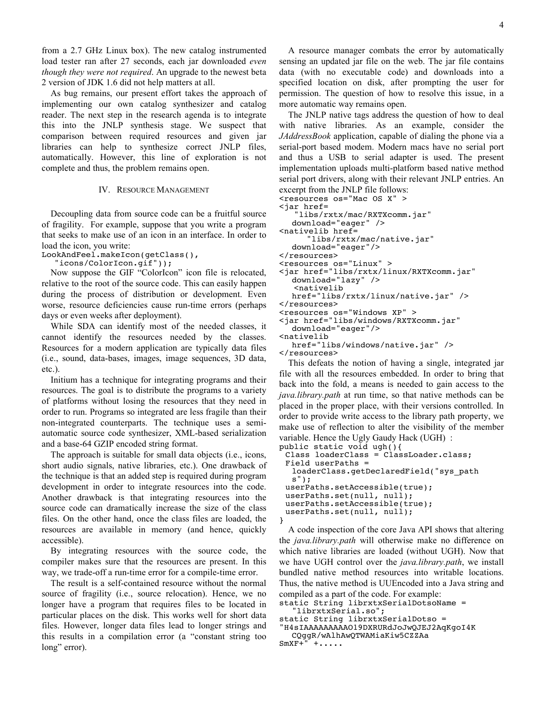from a 2.7 GHz Linux box). The new catalog instrumented load tester ran after 27 seconds, each jar downloaded *even though they were not required*. An upgrade to the newest beta 2 version of JDK 1.6 did not help matters at all.

As bug remains, our present effort takes the approach of implementing our own catalog synthesizer and catalog reader. The next step in the research agenda is to integrate this into the JNLP synthesis stage. We suspect that comparison between required resources and given jar libraries can help to synthesize correct JNLP files, automatically. However, this line of exploration is not complete and thus, the problem remains open.

## IV. RESOURCE MANAGEMENT

Decoupling data from source code can be a fruitful source of fragility. For example, suppose that you write a program that seeks to make use of an icon in an interface. In order to load the icon, you write:

LookAndFeel.makeIcon(getClass(),

"icons/ColorIcon.gif"));

Now suppose the GIF "ColorIcon" icon file is relocated, relative to the root of the source code. This can easily happen during the process of distribution or development. Even worse, resource deficiencies cause run-time errors (perhaps days or even weeks after deployment).

While SDA can identify most of the needed classes, it cannot identify the resources needed by the classes. Resources for a modern application are typically data files (i.e., sound, data-bases, images, image sequences, 3D data, etc.).

Initium has a technique for integrating programs and their resources. The goal is to distribute the programs to a variety of platforms without losing the resources that they need in order to run. Programs so integrated are less fragile than their non-integrated counterparts. The technique uses a semiautomatic source code synthesizer, XML-based serialization and a base-64 GZIP encoded string format.

The approach is suitable for small data objects (i.e., icons, short audio signals, native libraries, etc.). One drawback of the technique is that an added step is required during program development in order to integrate resources into the code. Another drawback is that integrating resources into the source code can dramatically increase the size of the class files. On the other hand, once the class files are loaded, the resources are available in memory (and hence, quickly accessible).

By integrating resources with the source code, the compiler makes sure that the resources are present. In this way, we trade-off a run-time error for a compile-time error.

The result is a self-contained resource without the normal source of fragility (i.e., source relocation). Hence, we no longer have a program that requires files to be located in particular places on the disk. This works well for short data files. However, longer data files lead to longer strings and this results in a compilation error (a "constant string too long" error).

A resource manager combats the error by automatically sensing an updated jar file on the web. The jar file contains data (with no executable code) and downloads into a specified location on disk, after prompting the user for permission. The question of how to resolve this issue, in a more automatic way remains open.

The JNLP native tags address the question of how to deal with native libraries. As an example, consider the *JAddressBook* application, capable of dialing the phone via a serial-port based modem. Modern macs have no serial port and thus a USB to serial adapter is used. The present implementation uploads multi-platform based native method serial port drivers, along with their relevant JNLP entries. An excerpt from the JNLP file follows:

<resources os="Mac OS X" >

```
<jar href=
    "libs/rxtx/mac/RXTXcomm.jar"
```

```
download="eager" />
```
"libs/rxtx/mac/native.jar"

```
download="eager"/>
```
</resources>

- <resources os="Linux" >
- <jar href="libs/rxtx/linux/RXTXcomm.jar" download="lazy" /> <nativelib

```
href="libs/rxtx/linux/native.jar" />
</resources>
```

```
<resources os="Windows XP" >
```

```
<jar href="libs/windows/RXTXcomm.jar"
```

```
download="eager"/>
<nativelib
```

```
href="libs/windows/native.jar" />
</resources>
```
This defeats the notion of having a single, integrated jar file with all the resources embedded. In order to bring that back into the fold, a means is needed to gain access to the *java.library.path* at run time, so that native methods can be placed in the proper place, with their versions controlled. In order to provide write access to the library path property, we make use of reflection to alter the visibility of the member variable. Hence the Ugly Gaudy Hack (UGH) :

```
public static void ugh(){
 Class loaderClass = ClassLoader.class;
 Field userPaths = 
  loaderClass.getDeclaredField("sys_path
  s");
 userPaths.setAccessible(true);
 userPaths.set(null, null);
 userPaths.setAccessible(true);
 userPaths.set(null, null);
}
```
A code inspection of the core Java API shows that altering the *java.library.path* will otherwise make no difference on which native libraries are loaded (without UGH). Now that we have UGH control over the *java.library.path*, we install bundled native method resources into writable locations. Thus, the native method is UUEncoded into a Java string and compiled as a part of the code. For example:

static String librxtxSerialDotsoName = librxtxSerial.so";

```
static String librxtxSerialDotso =
"H4sIAAAAAAAAAO19DXRURdJoJwQJEJ2AqKgoI4K
  CQggR/wAlhAwQTWAMiaKiw5CZZAa
```
 $SmxF+'' + \ldots$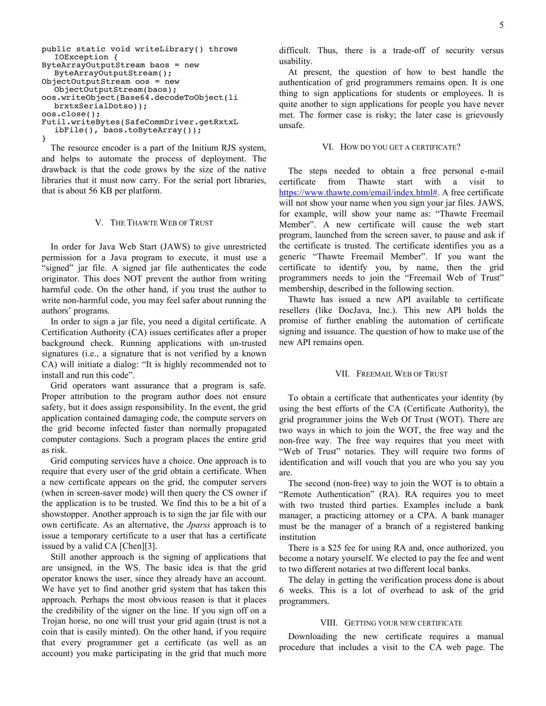```
public static void writeLibrary() throws 
  IOException {
ByteArrayOutputStream baos = new 
  ByteArrayOutputStream();
ObjectOutputStream oos = new 
  ObjectOutputStream(baos);
oos.writeObject(Base64.decodeToObject(li
  brxtxSerialDotso));
oos.close();
Futil.writeBytes(SafeCommDriver.getRxtxL
  ibFile(), baos.toByteArray());
}
```
The resource encoder is a part of the Initium RJS system, and helps to automate the process of deployment. The drawback is that the code grows by the size of the native libraries that it must now carry. For the serial port libraries, that is about 56 KB per platform.

## V. THE THAWTE WEB OF TRUST

In order for Java Web Start (JAWS) to give unrestricted permission for a Java program to execute, it must use a "signed" jar file. A signed jar file authenticates the code originator. This does NOT prevent the author from writing harmful code. On the other hand, if you trust the author to write non-harmful code, you may feel safer about running the authors' programs.

In order to sign a jar file, you need a digital certificate. A Certification Authority (CA) issues certificates after a proper background check. Running applications with un-trusted signatures (i.e., a signature that is not verified by a known CA) will initiate a dialog: "It is highly recommended not to install and run this code".

Grid operators want assurance that a program is safe. Proper attribution to the program author does not ensure safety, but it does assign responsibility. In the event, the grid application contained damaging code, the compute servers on the grid become infected faster than normally propagated computer contagions. Such a program places the entire grid as risk.

Grid computing services have a choice. One approach is to require that every user of the grid obtain a certificate. When a new certificate appears on the grid, the computer servers (when in screen-saver mode) will then query the CS owner if the application is to be trusted. We find this to be a bit of a showstopper. Another approach is to sign the jar file with our own certificate. As an alternative, the *Jparss* approach is to issue a temporary certificate to a user that has a certificate issued by a valid CA [Chen][3].

Still another approach is the signing of applications that are unsigned, in the WS. The basic idea is that the grid operator knows the user, since they already have an account. We have yet to find another grid system that has taken this approach. Perhaps the most obvious reason is that it places the credibility of the signer on the line. If you sign off on a Trojan horse, no one will trust your grid again (trust is not a coin that is easily minted). On the other hand, if you require that every programmer get a certificate (as well as an account) you make participating in the grid that much more

difficult. Thus, there is a trade-off of security versus usability.

At present, the question of how to best handle the authentication of grid programmers remains open. It is one thing to sign applications for students or employees. It is quite another to sign applications for people you have never met. The former case is risky; the later case is grievously unsafe.

#### VI. HOW DO YOU GET A CERTIFICATE?

The steps needed to obtain a free personal e-mail certificate from Thawte start with a visit to https://www.thawte.com/email/index.html#. A free certificate will not show your name when you sign your jar files. JAWS, for example, will show your name as: "Thawte Freemail Member". A new certificate will cause the web start program, launched from the screen saver, to pause and ask if the certificate is trusted. The certificate identifies you as a generic "Thawte Freemail Member". If you want the certificate to identify you, by name, then the grid programmers needs to join the "Freemail Web of Trust" membership, described in the following section.

Thawte has issued a new API available to certificate resellers (like DocJava, Inc.). This new API holds the promise of further enabling the automation of certificate signing and issuance. The question of how to make use of the new API remains open.

#### VII. FREEMAIL WEB OF TRUST

To obtain a certificate that authenticates your identity (by using the best efforts of the CA (Certificate Authority), the grid programmer joins the Web Of Trust (WOT). There are two ways in which to join the WOT, the free way and the non-free way. The free way requires that you meet with "Web of Trust" notaries. They will require two forms of identification and will vouch that you are who you say you are.

The second (non-free) way to join the WOT is to obtain a "Remote Authentication" (RA). RA requires you to meet with two trusted third parties. Examples include a bank manager, a practicing attorney or a CPA. A bank manager must be the manager of a branch of a registered banking institution

There is a \$25 fee for using RA and, once authorized, you become a notary yourself. We elected to pay the fee and went to two different notaries at two different local banks.

The delay in getting the verification process done is about 6 weeks. This is a lot of overhead to ask of the grid programmers.

## VIII. GETTING YOUR NEW CERTIFICATE

Downloading the new certificate requires a manual procedure that includes a visit to the CA web page. The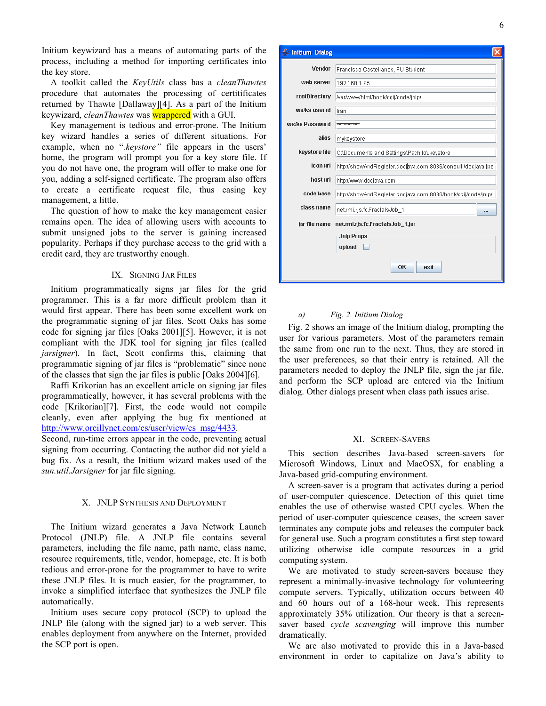Initium keywizard has a means of automating parts of the process, including a method for importing certificates into the key store.

A toolkit called the *KeyUtils* class has a *cleanThawtes* procedure that automates the processing of certitificates returned by Thawte [Dallaway][4]. As a part of the Initium keywizard, *cleanThawtes* was wrappered with a GUI.

Key management is tedious and error-prone. The Initium key wizard handles a series of different situations. For example, when no "*.keystore"* file appears in the users' home, the program will prompt you for a key store file. If you do not have one, the program will offer to make one for you, adding a self-signed certificate. The program also offers to create a certificate request file, thus easing key management, a little.

The question of how to make the key management easier remains open. The idea of allowing users with accounts to submit unsigned jobs to the server is gaining increased popularity. Perhaps if they purchase access to the grid with a credit card, they are trustworthy enough.

## IX. SIGNING JAR FILES

Initium programmatically signs jar files for the grid programmer. This is a far more difficult problem than it would first appear. There has been some excellent work on the programmatic signing of jar files. Scott Oaks has some code for signing jar files [Oaks 2001][5]. However, it is not compliant with the JDK tool for signing jar files (called *jarsigner*). In fact, Scott confirms this, claiming that programmatic signing of jar files is "problematic" since none of the classes that sign the jar files is public [Oaks 2004][6].

Raffi Krikorian has an excellent article on signing jar files programmatically, however, it has several problems with the code [Krikorian][7]. First, the code would not compile cleanly, even after applying the bug fix mentioned at http://www.oreillynet.com/cs/user/view/cs\_msg/4433.

Second, run-time errors appear in the code, preventing actual signing from occurring. Contacting the author did not yield a bug fix. As a result, the Initium wizard makes used of the *sun.util.Jarsigner* for jar file signing.

## X. JNLP SYNTHESIS AND DEPLOYMENT

The Initium wizard generates a Java Network Launch Protocol (JNLP) file. A JNLP file contains several parameters, including the file name, path name, class name, resource requirements, title, vendor, homepage, etc. It is both tedious and error-prone for the programmer to have to write these JNLP files. It is much easier, for the programmer, to invoke a simplified interface that synthesizes the JNLP file automatically.

Initium uses secure copy protocol (SCP) to upload the JNLP file (along with the signed jar) to a web server. This enables deployment from anywhere on the Internet, provided the SCP port is open.

| Initium Dialog |                                                               |
|----------------|---------------------------------------------------------------|
| Vendor         | Francisco Castellanos, FU Student                             |
| web server     | 192.168.1.95                                                  |
| rootDirectory  | //war/www/html/book/cgij/code/inlp                            |
| ws/ks user id  | fran                                                          |
| ws/ks Password | **********                                                    |
| alias          | mykeystore                                                    |
| keystore file  | C:\Documents and Settings\Pachito\.keystore                   |
| icon url       | http://showAndRegister.docjava.com:8086/consulti/docjava.jpe" |
| host url       | http://www.docjava.com                                        |
| code base      | http://showAndRegister.docjava.com:8086/book/cgij/code/jnlp/  |
| class name     |                                                               |
|                | net.rmi.rjs.fc.FractalsJob_1<br>                              |
| jar file name  | net.rmi.rjs.fc.FractalsJob_1.jar                              |
|                | <b>Jnlp Props</b>                                             |
|                | upload                                                        |
|                | OK<br>exit                                                    |

## *a) Fig. 2. Initium Dialog*

Fig. 2 shows an image of the Initium dialog, prompting the user for various parameters. Most of the parameters remain the same from one run to the next. Thus, they are stored in the user preferences, so that their entry is retained. All the parameters needed to deploy the JNLP file, sign the jar file, and perform the SCP upload are entered via the Initium dialog. Other dialogs present when class path issues arise.

#### XI. SCREEN-SAVERS

This section describes Java-based screen-savers for Microsoft Windows, Linux and MacOSX, for enabling a Java-based grid-computing environment.

A screen-saver is a program that activates during a period of user-computer quiescence. Detection of this quiet time enables the use of otherwise wasted CPU cycles. When the period of user-computer quiescence ceases, the screen saver terminates any compute jobs and releases the computer back for general use. Such a program constitutes a first step toward utilizing otherwise idle compute resources in a grid computing system.

We are motivated to study screen-savers because they represent a minimally-invasive technology for volunteering compute servers. Typically, utilization occurs between 40 and 60 hours out of a 168-hour week. This represents approximately 35% utilization. Our theory is that a screensaver based *cycle scavenging* will improve this number dramatically.

We are also motivated to provide this in a Java-based environment in order to capitalize on Java's ability to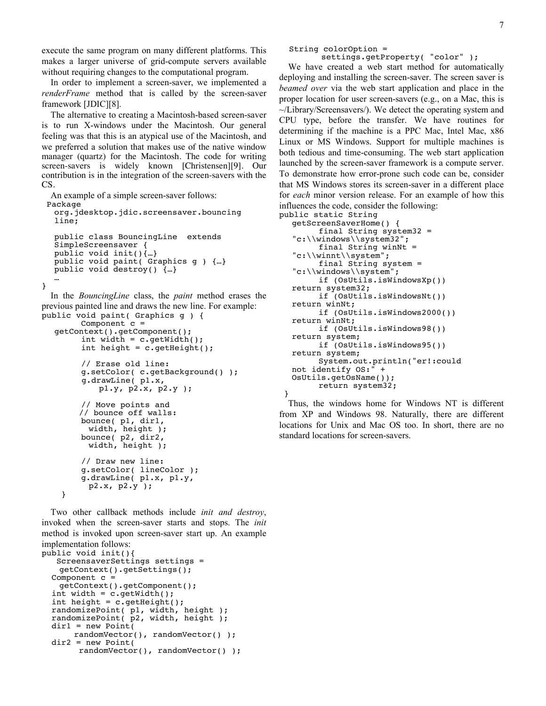execute the same program on many different platforms. This makes a larger universe of grid-compute servers available without requiring changes to the computational program.

In order to implement a screen-saver, we implemented a *renderFrame* method that is called by the screen-saver framework [JDIC][8].

The alternative to creating a Macintosh-based screen-saver is to run X-windows under the Macintosh. Our general feeling was that this is an atypical use of the Macintosh, and we preferred a solution that makes use of the native window manager (quartz) for the Macintosh. The code for writing screen-savers is widely known [Christensen][9]. Our contribution is in the integration of the screen-savers with the CS.

```
An example of a simple screen-saver follows:
 Package 
  org.jdesktop.jdic.screensaver.bouncing
  line;
  public class BouncingLine extends 
  SimpleScreensaver {
  public void init(){…}
  public void paint( Graphics g ) {…}
  public void destroy() {…}
… }
  In the BouncingLine class, the paint method erases the 
previous painted line and draws the new line. For example:
public void paint( Graphics g ) {
        Component c =
```

```
getContext().getComponent(); int width = c.getWidth();
        int height = c.getHeight();
        // Erase old line: g.setColor( c.getBackground() );
         g.drawLine( p1.x, 
              p1.y, p2.x, p2.y );
        // Move points and // bounce off walls:
        bounce( p1, dir1, 
           width, height );
       bounce( p2, dir2,<br>width, height );
        // Draw new line:
        g.setColor( lineColor ); g.drawLine( p1.x, p1.y, 
   p2.x, p2.y ); }
```
Two other callback methods include *init and destroy*, invoked when the screen-saver starts and stops. The *init* method is invoked upon screen-saver start up. An example implementation follows: public void init(){ ScreensaverSettings settings = getContext().getSettings(); Component c = qetContext().getComponent();<br>int width = c.getWidth(); int height =  $c.getHeight()$ ; randomizePoint( p1, width, height ); randomizePoint(  $p2$ , width, height );<br>dir1 = new Point( randomVector(), randomVector() );  $dir2 = new Point($ randomVector(), randomVector() );

settings.getProperty( "color" );

We have created a web start method for automatically deploying and installing the screen-saver. The screen saver is *beamed over* via the web start application and place in the proper location for user screen-savers (e.g., on a Mac, this is  $\sim$ /Library/Screensavers/). We detect the operating system and CPU type, before the transfer. We have routines for determining if the machine is a PPC Mac, Intel Mac, x86 Linux or MS Windows. Support for multiple machines is both tedious and time-consuming. The web start application launched by the screen-saver framework is a compute server. To demonstrate how error-prone such code can be, consider that MS Windows stores its screen-saver in a different place for *each* minor version release. For an example of how this influences the code, consider the following:

```
public static String<br>getScreenSaverHome() {
          final String system32 =
   C:\\widetilde{\operatorname{System32";}}<br>final String winNt =
   "c:\\winnt\\system";
   final String system =<br>"c:\\windows\\system";
          if (OSUtils.isWindowsXp())return system32;
           if (OsUtils.isWindowsNt()) 
   return winNt;
           if (OsUtils.isWindows2000()) 
   return winNt;
   if (OsUtils.isWindows98())<br>return system;
          if (OsUtils.isWindows95())
   return system;
           System.out.println("er!:could 
   not identify OS:" + 
   OsUtils.getOsName());
           return system32;
 }
```
Thus, the windows home for Windows NT is different from XP and Windows 98. Naturally, there are different locations for Unix and Mac OS too. In short, there are no standard locations for screen-savers.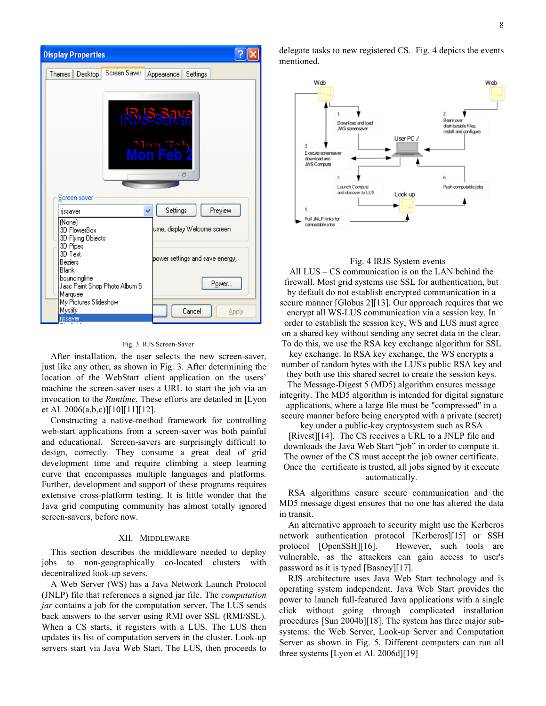

#### Fig. 3. RJS Screen-Saver

After installation, the user selects the new screen-saver, just like any other, as shown in Fig. 3. After determining the location of the WebStart client application on the users' machine the screen-saver uses a URL to start the job via an invocation to the *Runtime*. These efforts are detailed in [Lyon et Al. 2006(a,b,c)][10][11][12].

Constructing a native-method framework for controlling web-start applications from a screen-saver was both painful and educational. Screen-savers are surprisingly difficult to design, correctly. They consume a great deal of grid development time and require climbing a steep learning curve that encompasses multiple languages and platforms. Further, development and support of these programs requires extensive cross-platform testing. It is little wonder that the Java grid computing community has almost totally ignored screen-savers, before now.

#### XII. MIDDLEWARE

This section describes the middleware needed to deploy jobs to non-geographically co-located clusters with decentralized look-up severs.

A Web Server (WS) has a Java Network Launch Protocol (JNLP) file that references a signed jar file. The *computation jar* contains a job for the computation server. The LUS sends back answers to the server using RMI over SSL (RMI/SSL). When a CS starts, it registers with a LUS. The LUS then updates its list of computation servers in the cluster. Look-up servers start via Java Web Start. The LUS, then proceeds to delegate tasks to new registered CS. Fig. 4 depicts the events mentioned.



## Fig. 4 IRJS System events

All LUS – CS communication is on the LAN behind the firewall. Most grid systems use SSL for authentication, but by default do not establish encrypted communication in a secure manner [Globus 2][13]. Our approach requires that we encrypt all WS-LUS communication via a session key. In order to establish the session key, WS and LUS must agree on a shared key without sending any secret data in the clear. To do this, we use the RSA key exchange algorithm for SSL

key exchange. In RSA key exchange, the WS encrypts a number of random bytes with the LUS's public RSA key and they both use this shared secret to create the session keys.

The Message-Digest 5 (MD5) algorithm ensures message integrity. The MD5 algorithm is intended for digital signature applications, where a large file must be "compressed" in a secure manner before being encrypted with a private (secret)

key under a public-key cryptosystem such as RSA [Rivest][14]. The CS receives a URL to a JNLP file and downloads the Java Web Start "job" in order to compute it. The owner of the CS must accept the job owner certificate. Once the certificate is trusted, all jobs signed by it execute automatically.

RSA algorithms ensure secure communication and the MD5 message digest ensures that no one has altered the data in transit.

An alternative approach to security might use the Kerberos network authentication protocol [Kerberos][15] or SSH protocol [OpenSSH][16]. However, such tools are vulnerable, as the attackers can gain access to user's password as it is typed [Basney][17].

RJS architecture uses Java Web Start technology and is operating system independent. Java Web Start provides the power to launch full-featured Java applications with a single click without going through complicated installation procedures [Sun 2004b][18]. The system has three major subsystems: the Web Server, Look-up Server and Computation Server as shown in Fig. 5. Different computers can run all three systems [Lyon et Al. 2006d][19]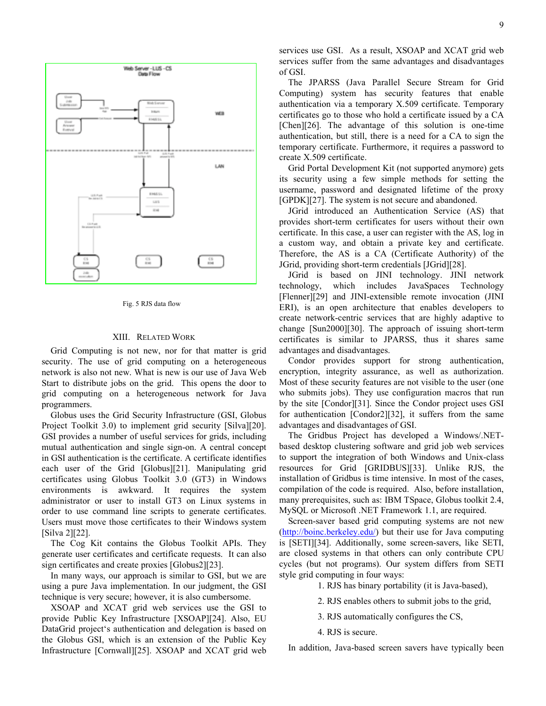



#### XIII. RELATED WORK

Grid Computing is not new, nor for that matter is grid security. The use of grid computing on a heterogeneous network is also not new. What is new is our use of Java Web Start to distribute jobs on the grid. This opens the door to grid computing on a heterogeneous network for Java programmers.

Globus uses the Grid Security Infrastructure (GSI, Globus Project Toolkit 3.0) to implement grid security [Silva][20]. GSI provides a number of useful services for grids, including mutual authentication and single sign-on. A central concept in GSI authentication is the certificate. A certificate identifies each user of the Grid [Globus][21]. Manipulating grid certificates using Globus Toolkit 3.0 (GT3) in Windows environments is awkward. It requires the system administrator or user to install GT3 on Linux systems in order to use command line scripts to generate certificates. Users must move those certificates to their Windows system [Silva 2][22].

The Cog Kit contains the Globus Toolkit APIs. They generate user certificates and certificate requests. It can also sign certificates and create proxies [Globus2][23].

In many ways, our approach is similar to GSI, but we are using a pure Java implementation. In our judgment, the GSI technique is very secure; however, it is also cumbersome.

XSOAP and XCAT grid web services use the GSI to provide Public Key Infrastructure [XSOAP][24]. Also, EU DataGrid project's authentication and delegation is based on the Globus GSI, which is an extension of the Public Key Infrastructure [Cornwall][25]. XSOAP and XCAT grid web services use GSI. As a result, XSOAP and XCAT grid web services suffer from the same advantages and disadvantages of GSI.

The JPARSS (Java Parallel Secure Stream for Grid Computing) system has security features that enable authentication via a temporary X.509 certificate. Temporary certificates go to those who hold a certificate issued by a CA [Chen][26]. The advantage of this solution is one-time authentication, but still, there is a need for a CA to sign the temporary certificate. Furthermore, it requires a password to create X.509 certificate.

Grid Portal Development Kit (not supported anymore) gets its security using a few simple methods for setting the username, password and designated lifetime of the proxy [GPDK][27]. The system is not secure and abandoned.

JGrid introduced an Authentication Service (AS) that provides short-term certificates for users without their own certificate. In this case, a user can register with the AS, log in a custom way, and obtain a private key and certificate. Therefore, the AS is a CA (Certificate Authority) of the JGrid, providing short-term credentials [JGrid][28].

JGrid is based on JINI technology. JINI network technology, which includes JavaSpaces Technology [Flenner][29] and JINI-extensible remote invocation (JINI ERI), is an open architecture that enables developers to create network-centric services that are highly adaptive to change [Sun2000][30]. The approach of issuing short-term certificates is similar to JPARSS, thus it shares same advantages and disadvantages.

Condor provides support for strong authentication, encryption, integrity assurance, as well as authorization. Most of these security features are not visible to the user (one who submits jobs). They use configuration macros that run by the site [Condor][31]. Since the Condor project uses GSI for authentication [Condor2][32], it suffers from the same advantages and disadvantages of GSI.

The Gridbus Project has developed a Windows/.NETbased desktop clustering software and grid job web services to support the integration of both Windows and Unix-class resources for Grid [GRIDBUS][33]. Unlike RJS, the installation of Gridbus is time intensive. In most of the cases, compilation of the code is required. Also, before installation, many prerequisites, such as: IBM TSpace, Globus toolkit 2.4, MySQL or Microsoft .NET Framework 1.1, are required.

Screen-saver based grid computing systems are not new (http://boinc.berkeley.edu/) but their use for Java computing is [SETI][34]. Additionally, some screen-savers, like SETI, are closed systems in that others can only contribute CPU cycles (but not programs). Our system differs from SETI style grid computing in four ways:

1. RJS has binary portability (it is Java-based),

2. RJS enables others to submit jobs to the grid,

3. RJS automatically configures the CS,

4. RJS is secure.

In addition, Java-based screen savers have typically been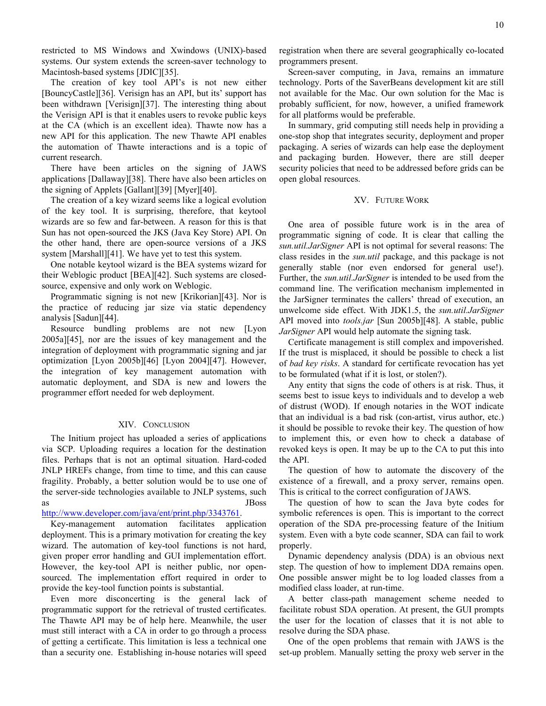restricted to MS Windows and Xwindows (UNIX)-based systems. Our system extends the screen-saver technology to Macintosh-based systems [JDIC][35].

The creation of key tool API's is not new either [BouncyCastle][36]. Verisign has an API, but its' support has been withdrawn [Verisign][37]. The interesting thing about the Verisign API is that it enables users to revoke public keys at the CA (which is an excellent idea). Thawte now has a new API for this application. The new Thawte API enables the automation of Thawte interactions and is a topic of current research.

There have been articles on the signing of JAWS applications [Dallaway][38]. There have also been articles on the signing of Applets [Gallant][39] [Myer][40].

The creation of a key wizard seems like a logical evolution of the key tool. It is surprising, therefore, that keytool wizards are so few and far-between. A reason for this is that Sun has not open-sourced the JKS (Java Key Store) API. On the other hand, there are open-source versions of a JKS system [Marshall][41]. We have yet to test this system.

One notable keytool wizard is the BEA systems wizard for their Weblogic product [BEA][42]. Such systems are closedsource, expensive and only work on Weblogic.

Programmatic signing is not new [Krikorian][43]. Nor is the practice of reducing jar size via static dependency analysis [Sadun][44].

Resource bundling problems are not new [Lyon 2005a][45], nor are the issues of key management and the integration of deployment with programmatic signing and jar optimization [Lyon 2005b][46] [Lyon 2004][47]. However, the integration of key management automation with automatic deployment, and SDA is new and lowers the programmer effort needed for web deployment.

## XIV. CONCLUSION

The Initium project has uploaded a series of applications via SCP. Uploading requires a location for the destination files. Perhaps that is not an optimal situation. Hard-coded JNLP HREFs change, from time to time, and this can cause fragility. Probably, a better solution would be to use one of the server-side technologies available to JNLP systems, such as JBoss

## http://www.developer.com/java/ent/print.php/3343761.

Key-management automation facilitates application deployment. This is a primary motivation for creating the key wizard. The automation of key-tool functions is not hard, given proper error handling and GUI implementation effort. However, the key-tool API is neither public, nor opensourced. The implementation effort required in order to provide the key-tool function points is substantial.

Even more disconcerting is the general lack of programmatic support for the retrieval of trusted certificates. The Thawte API may be of help here. Meanwhile, the user must still interact with a CA in order to go through a process of getting a certificate. This limitation is less a technical one than a security one. Establishing in-house notaries will speed registration when there are several geographically co-located programmers present.

Screen-saver computing, in Java, remains an immature technology. Ports of the SaverBeans development kit are still not available for the Mac. Our own solution for the Mac is probably sufficient, for now, however, a unified framework for all platforms would be preferable.

In summary, grid computing still needs help in providing a one-stop shop that integrates security, deployment and proper packaging. A series of wizards can help ease the deployment and packaging burden. However, there are still deeper security policies that need to be addressed before grids can be open global resources.

#### XV. FUTURE WORK

One area of possible future work is in the area of programmatic signing of code. It is clear that calling the *sun.util.JarSigner* API is not optimal for several reasons: The class resides in the *sun.util* package, and this package is not generally stable (nor even endorsed for general use!). Further, the *sun.util.JarSigner* is intended to be used from the command line. The verification mechanism implemented in the JarSigner terminates the callers' thread of execution, an unwelcome side effect. With JDK1.5, the *sun.util.JarSigner* API moved into *tools.jar* [Sun 2005b][48]. A stable, public *JarSigner* API would help automate the signing task.

Certificate management is still complex and impoverished. If the trust is misplaced, it should be possible to check a list of *bad key risks*. A standard for certificate revocation has yet to be formulated (what if it is lost, or stolen?).

Any entity that signs the code of others is at risk. Thus, it seems best to issue keys to individuals and to develop a web of distrust (WOD). If enough notaries in the WOT indicate that an individual is a bad risk (con-artist, virus author, etc.) it should be possible to revoke their key. The question of how to implement this, or even how to check a database of revoked keys is open. It may be up to the CA to put this into the API.

The question of how to automate the discovery of the existence of a firewall, and a proxy server, remains open. This is critical to the correct configuration of JAWS.

The question of how to scan the Java byte codes for symbolic references is open. This is important to the correct operation of the SDA pre-processing feature of the Initium system. Even with a byte code scanner, SDA can fail to work properly.

Dynamic dependency analysis (DDA) is an obvious next step. The question of how to implement DDA remains open. One possible answer might be to log loaded classes from a modified class loader, at run-time.

A better class-path management scheme needed to facilitate robust SDA operation. At present, the GUI prompts the user for the location of classes that it is not able to resolve during the SDA phase.

One of the open problems that remain with JAWS is the set-up problem. Manually setting the proxy web server in the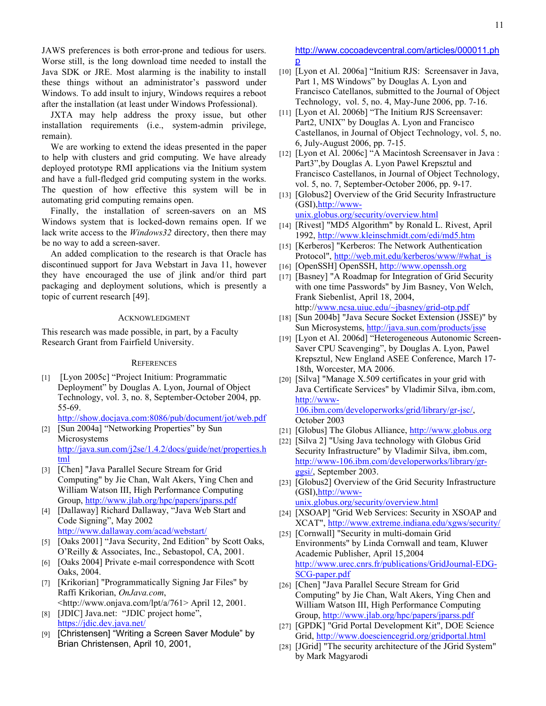JAWS preferences is both error-prone and tedious for users. Worse still, is the long download time needed to install the Java SDK or JRE. Most alarming is the inability to install these things without an administrator's password under Windows. To add insult to injury, Windows requires a reboot after the installation (at least under Windows Professional).

JXTA may help address the proxy issue, but other installation requirements (i.e., system-admin privilege, remain).

We are working to extend the ideas presented in the paper to help with clusters and grid computing. We have already deployed prototype RMI applications via the Initium system and have a full-fledged grid computing system in the works. The question of how effective this system will be in automating grid computing remains open.

Finally, the installation of screen-savers on an MS Windows system that is locked-down remains open. If we lack write access to the *Windows32* directory, then there may be no way to add a screen-saver.

An added complication to the research is that Oracle has discontinued support for Java Webstart in Java 11, however they have encouraged the use of jlink and/or third part packaging and deployment solutions, which is presently a topic of current research [49].

## ACKNOWLEDGMENT

This research was made possible, in part, by a Faculty Research Grant from Fairfield University.

#### **REFERENCES**

[1] [Lyon 2005c] "Project Initium: Programmatic Deployment" by Douglas A. Lyon, Journal of Object Technology, vol. 3, no. 8, September-October 2004, pp. 55-69.

http://show.docjava.com:8086/pub/document/jot/web.pdf

- [2] [Sun 2004a] "Networking Properties" by Sun Microsystems http://java.sun.com/j2se/1.4.2/docs/guide/net/properties.h tml
- [3] [Chen] "Java Parallel Secure Stream for Grid Computing" by Jie Chan, Walt Akers, Ying Chen and William Watson III, High Performance Computing Group, http://www.jlab.org/hpc/papers/jparss.pdf
- [4] [Dallaway] Richard Dallaway, "Java Web Start and Code Signing", May 2002 http://www.dallaway.com/acad/webstart/
- [5] [Oaks 2001] "Java Security, 2nd Edition" by Scott Oaks, O'Reilly & Associates, Inc., Sebastopol, CA, 2001.
- [6] [Oaks 2004] Private e-mail correspondence with Scott Oaks, 2004.
- [7] [Krikorian] "Programmatically Signing Jar Files" by Raffi Krikorian, *OnJava.com*,
- <http://www.onjava.com/lpt/a/761> April 12, 2001. [8] [JDIC] Java.net: "JDIC project home",
- https://jdic.dev.java.net/ [9] [Christensen] "Writing a Screen Saver Module" by
- Brian Christensen, April 10, 2001,

http://www.cocoadevcentral.com/articles/000011.ph p

- [10] [Lyon et Al. 2006a] "Initium RJS: Screensaver in Java, Part 1, MS Windows" by Douglas A. Lyon and Francisco Catellanos, submitted to the Journal of Object Technology, vol. 5, no. 4, May-June 2006, pp. 7-16.
- [11] [Lyon et Al. 2006b] "The Initium RJS Screensaver: Part2, UNIX" by Douglas A. Lyon and Francisco Castellanos, in Journal of Object Technology, vol. 5, no. 6, July-August 2006, pp. 7-15.
- [12] [Lyon et Al. 2006c] "A Macintosh Screensaver in Java: Part3",by Douglas A. Lyon Pawel Krepsztul and Francisco Castellanos, in Journal of Object Technology, vol. 5, no. 7, September-October 2006, pp. 9-17.
- [13] [Globus2] Overview of the Grid Security Infrastructure (GSI),http://www-

unix.globus.org/security/overview.html [14] [Rivest] "MD5 Algorithm" by Ronald L. Rivest, April 1992, http://www.kleinschmidt.com/edi/md5.htm

- [15] [Kerberos] "Kerberos: The Network Authentication Protocol", http://web.mit.edu/kerberos/www/#what\_is
- [16] [OpenSSH] OpenSSH, http://www.openssh.org
- [17] [Basney] "A Roadmap for Integration of Grid Security with one time Passwords" by Jim Basney, Von Welch, Frank Siebenlist, April 18, 2004, http://www.ncsa.uiuc.edu/~jbasney/grid-otp.pdf
- [18] [Sun 2004b] "Java Secure Socket Extension (JSSE)" by Sun Microsystems, http://java.sun.com/products/jsse
- [19] [Lyon et Al. 2006d] "Heterogeneous Autonomic Screen-Saver CPU Scavenging", by Douglas A. Lyon, Pawel Krepsztul, New England ASEE Conference, March 17- 18th, Worcester, MA 2006.
- [20] [Silva] "Manage X.509 certificates in your grid with Java Certificate Services" by Vladimir Silva, ibm.com, http://www-106.ibm.com/developerworks/grid/library/gr-jsc/, October 2003
- [21] [Globus] The Globus Alliance, http://www.globus.org
- [22] [Silva 2] "Using Java technology with Globus Grid Security Infrastructure" by Vladimir Silva, ibm.com, http://www-106.ibm.com/developerworks/library/grggsi/, September 2003.
- [23] [Globus2] Overview of the Grid Security Infrastructure (GSI),http://wwwunix.globus.org/security/overview.html
- [24] [XSOAP] "Grid Web Services: Security in XSOAP and XCAT", http://www.extreme.indiana.edu/xgws/security/
- [25] [Cornwall] "Security in multi-domain Grid Environments" by Linda Cornwall and team, Kluwer Academic Publisher, April 15,2004 http://www.urec.cnrs.fr/publications/GridJournal-EDG-SCG-paper.pdf
- [26] [Chen] "Java Parallel Secure Stream for Grid Computing" by Jie Chan, Walt Akers, Ying Chen and William Watson III, High Performance Computing Group, http://www.jlab.org/hpc/papers/jparss.pdf
- [27] [GPDK] "Grid Portal Development Kit", DOE Science Grid, http://www.doesciencegrid.org/gridportal.html
- [28] [JGrid] "The security architecture of the JGrid System" by Mark Magyarodi